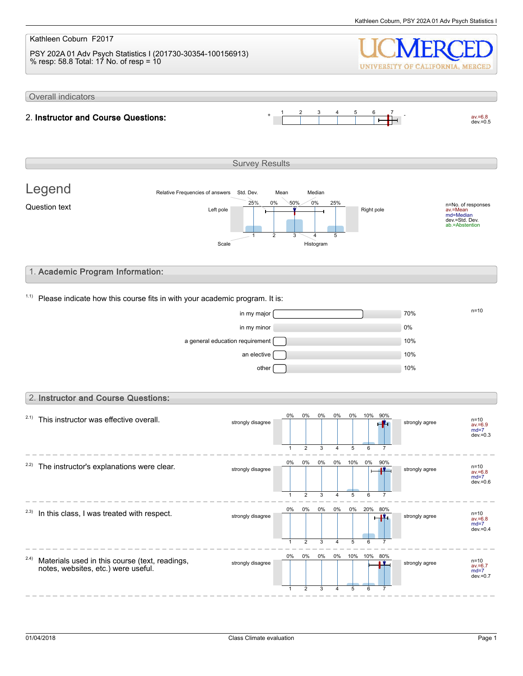#### Kathleen Coburn F2017 PSY 202A 01 Adv Psych Statistics I (201730-30354-100156913) % resp: 58.8 Total: 17 No. of resp = 10 UNIVERSITY OF CALIFORNIA, MERCED Overall indicators 1 2 3 4 5 6 7  $av.=6.8$ <br>dev.=0.5 2. Instructor and Course Questions: Survey Results Legend Relative Frequencies of answers Std. Dev. Mean Median 0% 0% 50% 25% 25% n=No. of responses av.=Mean md=Median Question text  $L$  and  $L$  the  $\frac{L}{L}$  and  $\frac{L}{L}$  and  $\frac{L}{L}$  Right pole dev.=Std. Dev. ab.=Abstention 1 2 3 4 5 Scale Histogram 1. Academic Program Information:  $1.1$ ) Please indicate how this course fits in with your academic program. It is:  $\frac{m}{100}$  in my major  $\frac{m}{100}$ in my minor and the contract of the contract of the contract of the contract of the contract of the contract of the contract of the contract of the contract of the contract of the contract of the contract of the contract o a general education requirement 10% an elective  $\Box$ other [20] and the contract of the contract of the contract of the contract of the contract of the contract of 2. Instructor and Course Questions: 0% 0% 0% 0% 0% 10% 90%  $2.1)$  This instructor was effective overall. strongly disagree strongly agree n=10 av.=6.9 md=7 dev.=0.3  $\overline{2}$ 3 5 6 1 4 7 0% 0% 0% 0% 10% 0% 90%  $2.2$ ) The instructor's explanations were clear. strongly disagree  $\begin{array}{|c|c|c|c|c|c|c|c|c|}\n\hline\n\text{10.6} & \text{0.8} & \text{0.8} & \text{0.8} & \text{0.8} & \text{0.8} & \text{0.8} & \text{0.8} & \text{0.8} & \text{0.8} & \text{0.8} & \text{0.8} & \text{0.8} & \text{0.8} & \text{0.8} & \text{0.8} & \text{0.8} & \text{0.8} & \text{0.8} & \text{0.8} & \text{0.8} & \text{$ av.=6.8 md=7  $dev = 0.6$ 1 2 3 4 5 6 7  $- - -$ 0% 0% 0% 0% 0% 20% 80%  $2.3)$  In this class, I was treated with respect. strongly disagree strongly agree av.=6.8 md=7 dev.= $0.4$ 1 2 3 4 5 6 7 0% 0% 0% 0% 80% 10% 10% 2.4) Materials used in this course (text, readings, strongly disagree strongly agree n=10 notes, websites, etc.) were useful. av.=6.7 md=7 dev.=0.7 1 2 3 4 5 6 7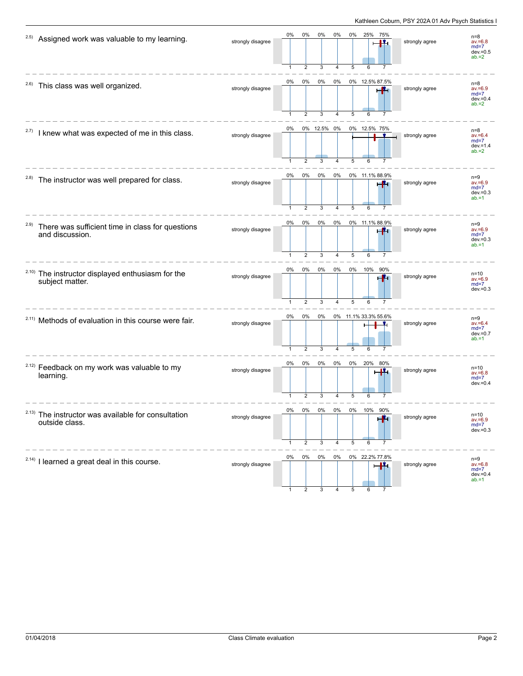| 2.5)  | Assigned work was valuable to my learning.                                       | strongly disagree | 0%                 | $0\%$                   | 0%               | 0%             | 0%             | 25%<br>75%                  | strongly agree | $n=8$<br>$av = 6.8$<br>$md=7$<br>$dev = 0.5$<br>$ab = 2$ |
|-------|----------------------------------------------------------------------------------|-------------------|--------------------|-------------------------|------------------|----------------|----------------|-----------------------------|----------------|----------------------------------------------------------|
|       | <sup>2.6)</sup> This class was well organized.                                   | strongly disagree | 0%<br>1            | $0\%$<br>2              | $0\%$<br>3       | 0%<br>4        | 5              | 0% 12.5% 87.5%<br>6         | strongly agree | $n=8$<br>$av = 6.9$<br>$md=7$<br>$dev = 0.4$<br>$ab = 2$ |
| 2.7)  | I knew what was expected of me in this class.                                    | strongly disagree | 0%                 | $\overline{2}$          | 0% 12.5% 0%<br>3 | 4              | 5              | 0% 12.5% 75%                | strongly agree | $n=8$<br>$av = 6.4$<br>$md=7$<br>$dev = 1.4$<br>$ab = 2$ |
| 2.8)  | The instructor was well prepared for class.                                      | strongly disagree | 0%<br>$\mathbf{1}$ | $0\%$<br>$\overline{2}$ | 0%<br>3          | 0%<br>4        | 5              | 0% 11.1% 88.9%<br>i Vi<br>6 | strongly agree | $n=9$<br>$av = 6.9$<br>$md=7$<br>$dev = 0.3$<br>$ab = 1$ |
| 2.9)  | There was sufficient time in class for questions<br>and discussion.              | strongly disagree | 0%<br>1            | 0%<br>$\overline{2}$    | 0%<br>3          | 0%<br>4        | 5              | 0% 11.1% 88.9%<br>6         | strongly agree | $n=9$<br>$av = 6.9$<br>$md=7$<br>$dev = 0.3$<br>$ab = 1$ |
| 2.10) | The instructor displayed enthusiasm for the<br>subject matter.                   | strongly disagree | 0%                 | $0\%$<br>$\overline{2}$ | 0%<br>3          | 0%<br>4        | 0%<br>5        | 10%<br>90%                  | strongly agree | $n = 10$<br>$av = 6.9$<br>$md=7$<br>$dev = 0.3$          |
|       | <sup>2.11)</sup> Methods of evaluation in this course were fair.                 | strongly disagree | 0%                 | $0\%$<br>$\overline{2}$ | 0%<br>3          | 4              | 5              | 0% 11.1% 33.3% 55.6%<br>6   | strongly agree | $n=9$<br>$av = 6.4$<br>$md=7$<br>$dev = 0.7$<br>$ab = 1$ |
|       | <sup>2.12)</sup> Feedback on my work was valuable to my<br>learning.             | strongly disagree | 0%<br>1            | 0%<br>$\overline{2}$    | 0%<br>3          | 0%<br>4        | 0%<br>5        | 20%<br>80%<br>11.<br>6      | strongly agree | $n = 10$<br>$av = 6.8$<br>$md=7$<br>$dev = 0.4$          |
|       | <sup>2.13)</sup> The instructor was available for consultation<br>outside class. | strongly disagree | 0%                 | <b>U%</b><br>2          | <b>0%</b><br>3   | <b>0%</b><br>4 | <b>0%</b><br>5 | 10%<br>90%<br>-14<br>6      | strongly agree | $n=10$<br>$av = 6.9$<br>$md=7$<br>$dev = 0.3$            |
|       | $2.14$ ) I learned a great deal in this course.                                  | strongly disagree | 0%                 | 0%                      | 0%               | 0%             |                | 0% 22.2% 77.8%<br>п.        | strongly agree | $n=9$<br>$av = 6.8$<br>$md=7$<br>$dev = 0.4$<br>$ab = 1$ |

1 2 3 4 5 6 7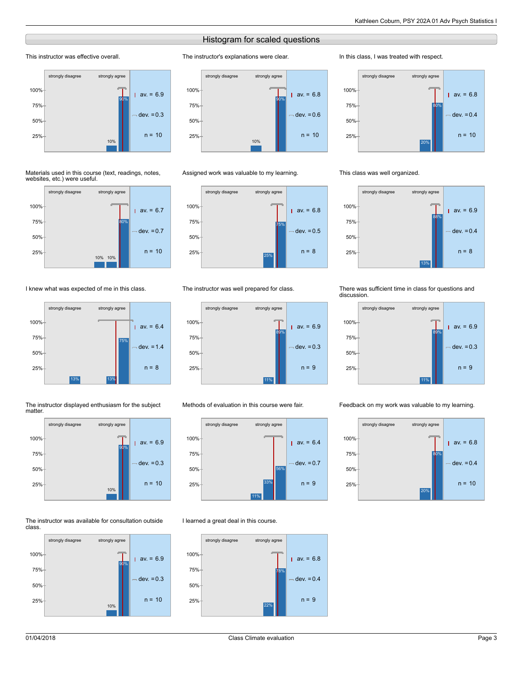# Histogram for scaled questions

The instructor's explanations were clear.

# This instructor was effective overall.



#### Materials used in this course (text, readings, notes, websites, etc.) were useful.



# I knew what was expected of me in this class.



#### The instructor displayed enthusiasm for the subject matter.



## The instructor was available for consultation outside class.





## Assigned work was valuable to my learning.



## The instructor was well prepared for class.



# Methods of evaluation in this course were fair.



# I learned a great deal in this course.



## In this class, I was treated with respect.



## This class was well organized.



## There was sufficient time in class for questions and discussion.



## Feedback on my work was valuable to my learning.

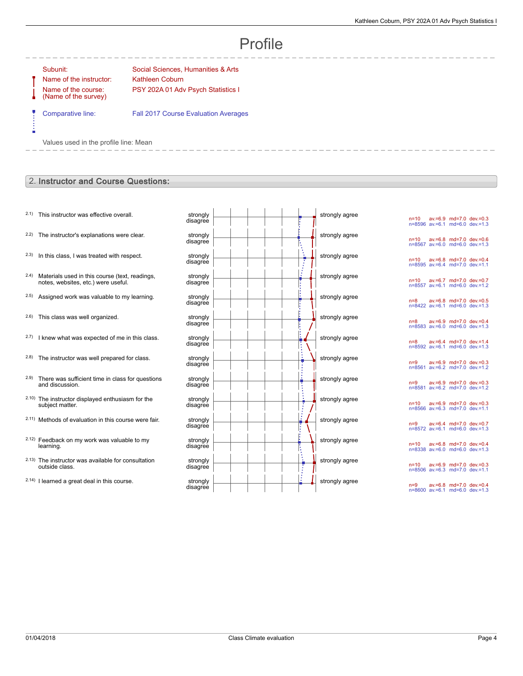# Profile

-----------

Ė

Name of the instructor: Kathleen Coburn Name of the course: (Name of the survey)

Subunit: Subunit: Social Sciences, Humanities & Arts PSY 202A 01 Adv Psych Statistics I

Comparative line: Fall 2017 Course Evaluation Averages

Values used in the profile line: Mean

# 2. Instructor and Course Questions:

- $2.1$ ) This instructor was effective overall.
- $2.2$ ) The instructor's explanations were clear.
- $2.3$  In this class, I was treated with respect.
- 2.4) Materials used in this course (text, readings, notes, websites, etc.) were useful.
- $2.5$ ) Assigned work was valuable to my learning.
- $2.6$ ) This class was well organized.
- $2.7)$  I knew what was expected of me in this class.
- $2.8$ ) The instructor was well prepared for class.
- 2.9) There was sufficient time in class for questions and discussion.
- 2.10) The instructor displayed enthusiasm for the subject matter.
- 2.11) Methods of evaluation in this course were fair.
- 2.12) Feedback on my work was valuable to my learning.
- 2.13) The instructor was available for consultation outside class.
- $2.14$ ) I learned a great deal in this course.

| strongly<br>disagree | strongly agree |
|----------------------|----------------|
| strongly<br>disagree | strongly agree |
| strongly<br>disagree | strongly agree |
| strongly<br>disagree | strongly agree |
| strongly<br>disagree | strongly agree |
| strongly<br>disagree | strongly agree |
| strongly<br>disagree | strongly agree |
| strongly<br>disagree | strongly agree |
| strongly<br>disagree | strongly agree |
| strongly<br>disagree | strongly agree |
| strongly<br>disagree | strongly agree |
| strongly<br>disagree | strongly agree |
| strongly<br>disagree | strongly agree |
| strongly<br>disagree | strongly agree |

n=10 av.=6.9 md=7.0 dev.=0.3 n=8596 av.=6.1 md=6.0 dev.=1.3 n=10 av.=6.8 md=7.0 dev.=0.6 n=8567 av.=6.0 md=6.0 dev.=1.3 n=10 av.=6.8 md=7.0 dev.=0.4 n=8595 av.=6.4 md=7.0 dev.=1.1 n=10 av.=6.7 md=7.0 dev.=0.7 n=8557 av.=6.1 md=6.0 dev.=1.2 n=8 av.=6.8 md=7.0 dev.=0.5 n=8422 av.=6.1 md=6.0 dev.=1.3 n=8 av.=6.9 md=7.0 dev.=0.4 n=8583 av.=6.0 md=6.0 dev.=1.3 n=8 av.=6.4 md=7.0 dev.=1.4 n=8592 av.=6.1 md=6.0 dev.=1.3 n=9 av.=6.9 md=7.0 dev.=0.3 n=8561 av.=6.2 md=7.0 dev.=1.2 n=9 av.=6.9 md=7.0 dev.=0.3 n=8581 av.=6.2 md=7.0 dev.=1.2 n=10 av.=6.9 md=7.0 dev.=0.3 n=8566 av.=6.3 md=7.0 dev.=1.1 n=9 av.=6.4 md=7.0 dev.=0.7 n=8572 av.=6.1 md=6.0 dev.=1.3 n=10 av.=6.8 md=7.0 dev.=0.4 n=8338 av.=6.0 md=6.0 dev.=1.3 n=10 av.=6.9 md=7.0 dev.=0.3 n=8506 av.=6.3 md=7.0 dev.=1.1 n=9 av.=6.8 md=7.0 dev.=0.4 n=8600 av.=6.1 md=6.0 dev.=1.3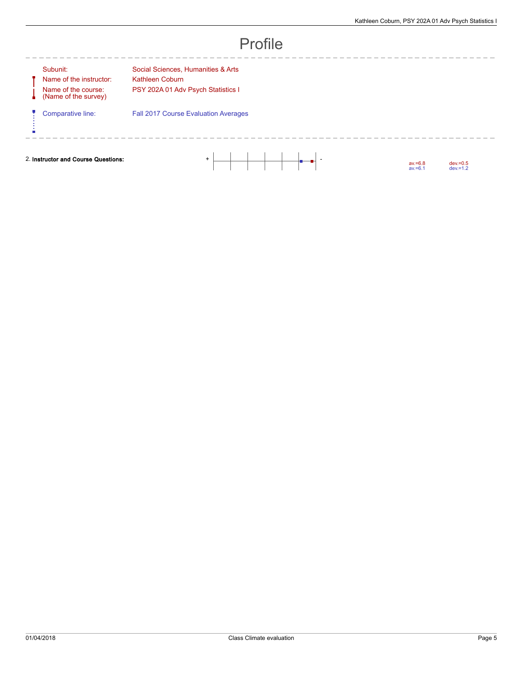| ΤI<br>ſ |  |
|---------|--|
|---------|--|

| subunit: |  |  |
|----------|--|--|
|          |  |  |

A Ų

ń

Name of the instructor: Kathleen Coburn Name of the course: (Name of the survey)

Subunit: Social Sciences, Humanities & Arts PSY 202A 01 Adv Psych Statistics I

--------

Comparative line: Fall 2017 Course Evaluation Averages